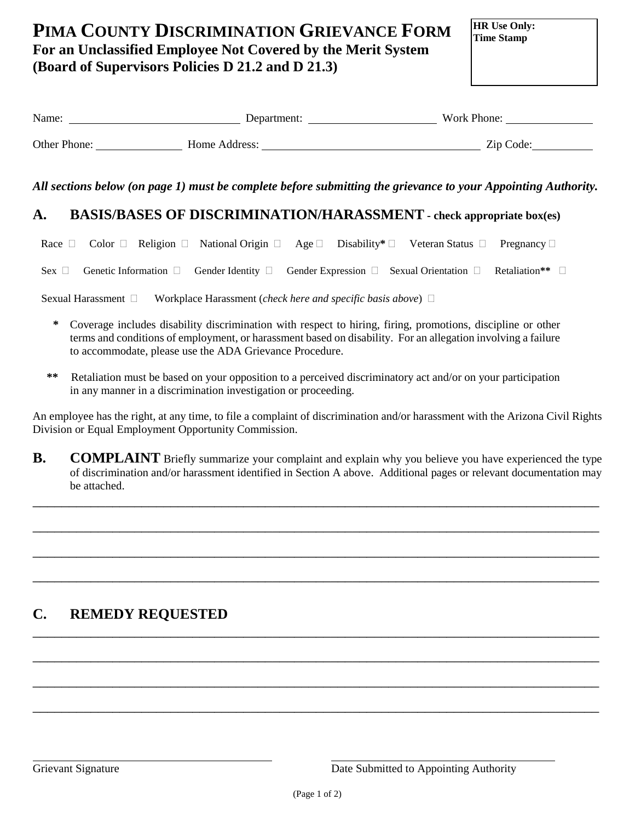# **PIMA COUNTY DISCRIMINATION GRIEVANCE FORM For an Unclassified Employee Not Covered by the Merit System (Board of Supervisors Policies D 21.2 and D 21.3)**

**HR Use Only: Time Stamp**

| Name:        | Department:   | Work Phone: |
|--------------|---------------|-------------|
| Other Phone: | Home Address: | Zip Code:   |

*All sections below (on page 1) must be complete before submitting the grievance to your Appointing Authority.* 

#### **A. BASIS/BASES OF DISCRIMINATION/HARASSMENT - check appropriate box(es)**

Race  $\Box$  Color  $\Box$  Religion  $\Box$  National Origin  $\Box$  Age  $\Box$  Disability<sup>\*</sup>  $\Box$  Veteran Status  $\Box$  Pregnancy  $\Box$ 

Sex  $\Box$  Genetic Information  $\Box$  Gender Identity  $\Box$  Gender Expression  $\Box$  Sexual Orientation  $\Box$  Retaliation\*\*

Sexual Harassment Workplace Harassment (*check here and specific basis above*)

- **\*** Coverage includes disability discrimination with respect to hiring, firing, promotions, discipline or other terms and conditions of employment, or harassment based on disability. For an allegation involving a failure to accommodate, please use the ADA Grievance Procedure.
- **\*\*** Retaliation must be based on your opposition to a perceived discriminatory act and/or on your participation in any manner in a discrimination investigation or proceeding.

An employee has the right, at any time, to file a complaint of discrimination and/or harassment with the Arizona Civil Rights Division or Equal Employment Opportunity Commission.

**B. COMPLAINT** Briefly summarize your complaint and explain why you believe you have experienced the type of discrimination and/or harassment identified in Section A above. Additional pages or relevant documentation may be attached.

\_\_\_\_\_\_\_\_\_\_\_\_\_\_\_\_\_\_\_\_\_\_\_\_\_\_\_\_\_\_\_\_\_\_\_\_\_\_\_\_\_\_\_\_\_\_\_\_\_\_\_\_\_\_\_\_\_\_\_\_\_\_\_\_\_\_\_\_\_\_\_\_\_\_\_\_\_\_

\_\_\_\_\_\_\_\_\_\_\_\_\_\_\_\_\_\_\_\_\_\_\_\_\_\_\_\_\_\_\_\_\_\_\_\_\_\_\_\_\_\_\_\_\_\_\_\_\_\_\_\_\_\_\_\_\_\_\_\_\_\_\_\_\_\_\_\_\_\_\_\_\_\_\_\_\_\_

\_\_\_\_\_\_\_\_\_\_\_\_\_\_\_\_\_\_\_\_\_\_\_\_\_\_\_\_\_\_\_\_\_\_\_\_\_\_\_\_\_\_\_\_\_\_\_\_\_\_\_\_\_\_\_\_\_\_\_\_\_\_\_\_\_\_\_\_\_\_\_\_\_\_\_\_\_\_

\_\_\_\_\_\_\_\_\_\_\_\_\_\_\_\_\_\_\_\_\_\_\_\_\_\_\_\_\_\_\_\_\_\_\_\_\_\_\_\_\_\_\_\_\_\_\_\_\_\_\_\_\_\_\_\_\_\_\_\_\_\_\_\_\_\_\_\_\_\_\_\_\_\_\_\_\_\_

\_\_\_\_\_\_\_\_\_\_\_\_\_\_\_\_\_\_\_\_\_\_\_\_\_\_\_\_\_\_\_\_\_\_\_\_\_\_\_\_\_\_\_\_\_\_\_\_\_\_\_\_\_\_\_\_\_\_\_\_\_\_\_\_\_\_\_\_\_\_\_\_\_\_\_\_\_\_

\_\_\_\_\_\_\_\_\_\_\_\_\_\_\_\_\_\_\_\_\_\_\_\_\_\_\_\_\_\_\_\_\_\_\_\_\_\_\_\_\_\_\_\_\_\_\_\_\_\_\_\_\_\_\_\_\_\_\_\_\_\_\_\_\_\_\_\_\_\_\_\_\_\_\_\_\_\_

\_\_\_\_\_\_\_\_\_\_\_\_\_\_\_\_\_\_\_\_\_\_\_\_\_\_\_\_\_\_\_\_\_\_\_\_\_\_\_\_\_\_\_\_\_\_\_\_\_\_\_\_\_\_\_\_\_\_\_\_\_\_\_\_\_\_\_\_\_\_\_\_\_\_\_\_\_\_

\_\_\_\_\_\_\_\_\_\_\_\_\_\_\_\_\_\_\_\_\_\_\_\_\_\_\_\_\_\_\_\_\_\_\_\_\_\_\_\_\_\_\_\_\_\_\_\_\_\_\_\_\_\_\_\_\_\_\_\_\_\_\_\_\_\_\_\_\_\_\_\_\_\_\_\_\_\_

# **C. REMEDY REQUESTED**

l